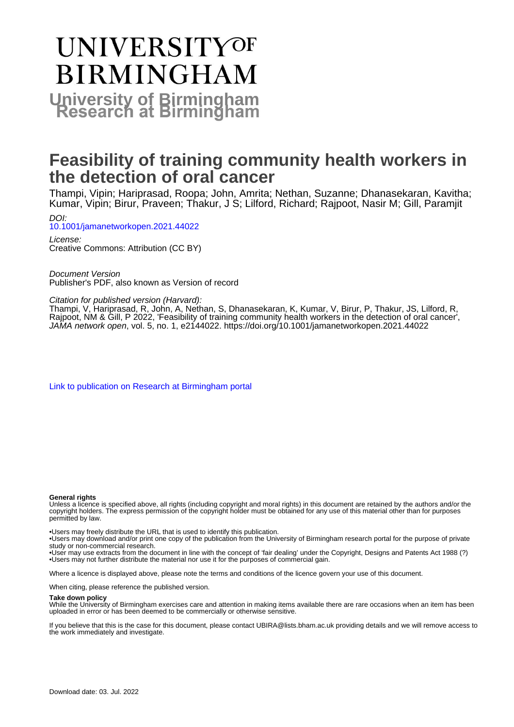# **UNIVERSITYOF BIRMINGHAM University of Birmingham**

# **Feasibility of training community health workers in the detection of oral cancer**

Thampi, Vipin; Hariprasad, Roopa; John, Amrita; Nethan, Suzanne; Dhanasekaran, Kavitha; Kumar, Vipin; Birur, Praveen; Thakur, J S; Lilford, Richard; Rajpoot, Nasir M; Gill, Paramjit DOI:

[10.1001/jamanetworkopen.2021.44022](https://doi.org/10.1001/jamanetworkopen.2021.44022)

License: Creative Commons: Attribution (CC BY)

Document Version Publisher's PDF, also known as Version of record

Citation for published version (Harvard):

Thampi, V, Hariprasad, R, John, A, Nethan, S, Dhanasekaran, K, Kumar, V, Birur, P, Thakur, JS, Lilford, R, Rajpoot, NM & Gill, P 2022, 'Feasibility of training community health workers in the detection of oral cancer', JAMA network open, vol. 5, no. 1, e2144022.<https://doi.org/10.1001/jamanetworkopen.2021.44022>

[Link to publication on Research at Birmingham portal](https://birmingham.elsevierpure.com/en/publications/ac144d01-6f01-416a-a91b-3c6b414e65d3)

#### **General rights**

Unless a licence is specified above, all rights (including copyright and moral rights) in this document are retained by the authors and/or the copyright holders. The express permission of the copyright holder must be obtained for any use of this material other than for purposes permitted by law.

• Users may freely distribute the URL that is used to identify this publication.

• Users may download and/or print one copy of the publication from the University of Birmingham research portal for the purpose of private study or non-commercial research.

• User may use extracts from the document in line with the concept of 'fair dealing' under the Copyright, Designs and Patents Act 1988 (?) • Users may not further distribute the material nor use it for the purposes of commercial gain.

Where a licence is displayed above, please note the terms and conditions of the licence govern your use of this document.

When citing, please reference the published version.

#### **Take down policy**

While the University of Birmingham exercises care and attention in making items available there are rare occasions when an item has been uploaded in error or has been deemed to be commercially or otherwise sensitive.

If you believe that this is the case for this document, please contact UBIRA@lists.bham.ac.uk providing details and we will remove access to the work immediately and investigate.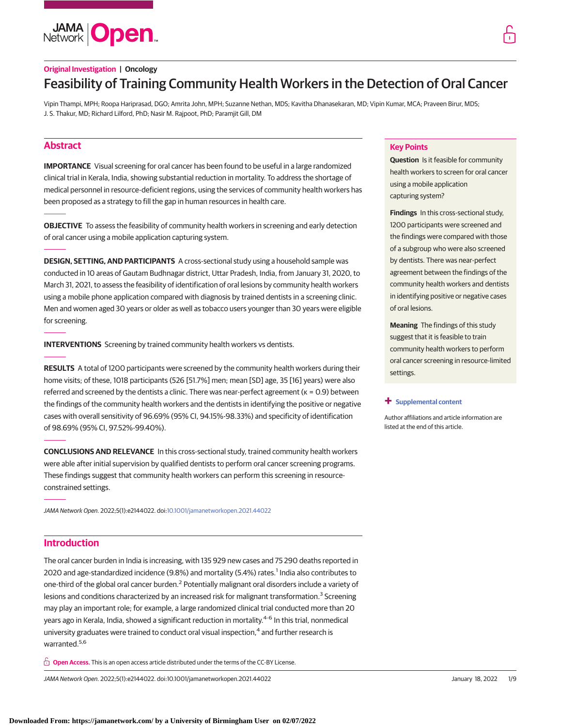**JAMA Open** 

### **Original Investigation | Oncology**

## Feasibility of Training Community Health Workers in the Detection of Oral Cancer

Vipin Thampi, MPH; Roopa Hariprasad, DGO; Amrita John, MPH; Suzanne Nethan, MDS; Kavitha Dhanasekaran, MD; Vipin Kumar, MCA; Praveen Birur, MDS; J. S. Thakur, MD; Richard Lilford, PhD; Nasir M. Rajpoot, PhD; Paramjit Gill, DM

### **Abstract**

**IMPORTANCE** Visual screening for oral cancer has been found to be useful in a large randomized clinical trial in Kerala, India, showing substantial reduction in mortality. To address the shortage of medical personnel in resource-deficient regions, using the services of community health workers has been proposed as a strategy to fill the gap in human resources in health care.

**OBJECTIVE** To assess the feasibility of community health workers in screening and early detection of oral cancer using a mobile application capturing system.

**DESIGN, SETTING, AND PARTICIPANTS** A cross-sectional study using a household sample was conducted in 10 areas of Gautam Budhnagar district, Uttar Pradesh, India, from January 31, 2020, to March 31, 2021, to assess the feasibility of identification of oral lesions by community health workers using a mobile phone application compared with diagnosis by trained dentists in a screening clinic. Men and women aged 30 years or older as well as tobacco users younger than 30 years were eligible for screening.

**INTERVENTIONS** Screening by trained community health workers vs dentists.

**RESULTS** A total of 1200 participants were screened by the community health workers during their home visits; of these, 1018 participants (526 [51.7%] men; mean [SD] age, 35 [16] years) were also referred and screened by the dentists a clinic. There was near-perfect agreement (κ = 0.9) between the findings of the community health workers and the dentists in identifying the positive or negative cases with overall sensitivity of 96.69% (95% CI, 94.15%-98.33%) and specificity of identification of 98.69% (95% CI, 97.52%-99.40%).

**CONCLUSIONS AND RELEVANCE** In this cross-sectional study, trained community health workers were able after initial supervision by qualified dentists to perform oral cancer screening programs. These findings suggest that community health workers can perform this screening in resourceconstrained settings.

JAMA Network Open. 2022;5(1):e2144022. doi[:10.1001/jamanetworkopen.2021.44022](https://jama.jamanetwork.com/article.aspx?doi=10.1001/jamanetworkopen.2021.44022&utm_campaign=articlePDF%26utm_medium=articlePDFlink%26utm_source=articlePDF%26utm_content=jamanetworkopen.2021.44022)

### **Introduction**

The oral cancer burden in India is increasing, with 135 929 new cases and 75 290 deaths reported in 2020 and age-standardized incidence (9.8%) and mortality (5.4%) rates.<sup>1</sup> India also contributes to one-third of the global oral cancer burden.<sup>2</sup> Potentially malignant oral disorders include a variety of lesions and conditions characterized by an increased risk for malignant transformation.<sup>3</sup> Screening may play an important role; for example, a large randomized clinical trial conducted more than 20 years ago in Kerala, India, showed a significant reduction in mortality.<sup>4-6</sup> In this trial, nonmedical university graduates were trained to conduct oral visual inspection,<sup>4</sup> and further research is warranted.<sup>5,6</sup>

**Open Access.** This is an open access article distributed under the terms of the CC-BY License.

JAMA Network Open. 2022;5(1):e2144022. doi:10.1001/jamanetworkopen.2021.44022 (Reprinted) January 18, 2022 1/9

#### **Key Points**

**Question** Is it feasible for community health workers to screen for oral cancer using a mobile application capturing system?

**Findings** In this cross-sectional study, 1200 participants were screened and the findings were compared with those of a subgroup who were also screened by dentists. There was near-perfect agreement between the findings of the community health workers and dentists in identifying positive or negative cases of oral lesions.

**Meaning** The findings of this study suggest that it is feasible to train community health workers to perform oral cancer screening in resource-limited settings.

#### **+ [Supplemental content](https://jama.jamanetwork.com/article.aspx?doi=10.1001/jamanetworkopen.2021.44022&utm_campaign=articlePDF%26utm_medium=articlePDFlink%26utm_source=articlePDF%26utm_content=jamanetworkopen.2021.44022)**

Author affiliations and article information are listed at the end of this article.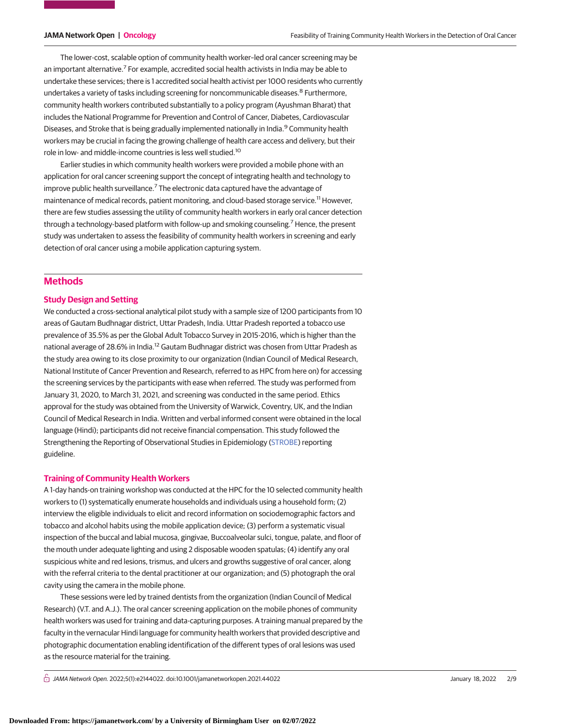The lower-cost, scalable option of community health worker–led oral cancer screening may be an important alternative.<sup>7</sup> For example, accredited social health activists in India may be able to undertake these services; there is 1 accredited social health activist per 1000 residents who currently undertakes a variety of tasks including screening for noncommunicable diseases.<sup>8</sup> Furthermore, community health workers contributed substantially to a policy program (Ayushman Bharat) that includes the National Programme for Prevention and Control of Cancer, Diabetes, Cardiovascular Diseases, and Stroke that is being gradually implemented nationally in India.<sup>9</sup> Community health workers may be crucial in facing the growing challenge of health care access and delivery, but their role in low- and middle-income countries is less well studied.<sup>10</sup>

Earlier studies in which community health workers were provided a mobile phone with an application for oral cancer screening support the concept of integrating health and technology to improve public health surveillance.<sup>7</sup> The electronic data captured have the advantage of maintenance of medical records, patient monitoring, and cloud-based storage service.<sup>11</sup> However, there are few studies assessing the utility of community health workers in early oral cancer detection through a technology-based platform with follow-up and smoking counseling.<sup>7</sup> Hence, the present study was undertaken to assess the feasibility of community health workers in screening and early detection of oral cancer using a mobile application capturing system.

### **Methods**

#### **Study Design and Setting**

We conducted a cross-sectional analytical pilot study with a sample size of 1200 participants from 10 areas of Gautam Budhnagar district, Uttar Pradesh, India. Uttar Pradesh reported a tobacco use prevalence of 35.5% as per the Global Adult Tobacco Survey in 2015-2016, which is higher than the national average of 28.6% in India.<sup>12</sup> Gautam Budhnagar district was chosen from Uttar Pradesh as the study area owing to its close proximity to our organization (Indian Council of Medical Research, National Institute of Cancer Prevention and Research, referred to as HPC from here on) for accessing the screening services by the participants with ease when referred. The study was performed from January 31, 2020, to March 31, 2021, and screening was conducted in the same period. Ethics approval for the study was obtained from the University of Warwick, Coventry, UK, and the Indian Council of Medical Research in India. Written and verbal informed consent were obtained in the local language (Hindi); participants did not receive financial compensation. This study followed the Strengthening the Reporting of Observational Studies in Epidemiology [\(STROBE\)](https://www.equator-network.org/reporting-guidelines/strobe/) reporting guideline.

#### **Training of Community Health Workers**

A 1-day hands-on training workshop was conducted at the HPC for the 10 selected community health workers to (1) systematically enumerate households and individuals using a household form; (2) interview the eligible individuals to elicit and record information on sociodemographic factors and tobacco and alcohol habits using the mobile application device; (3) perform a systematic visual inspection of the buccal and labial mucosa, gingivae, Buccoalveolar sulci, tongue, palate, and floor of the mouth under adequate lighting and using 2 disposable wooden spatulas; (4) identify any oral suspicious white and red lesions, trismus, and ulcers and growths suggestive of oral cancer, along with the referral criteria to the dental practitioner at our organization; and (5) photograph the oral cavity using the camera in the mobile phone.

These sessions were led by trained dentists from the organization (Indian Council of Medical Research) (V.T. and A.J.). The oral cancer screening application on the mobile phones of community health workers was used for training and data-capturing purposes. A training manual prepared by the faculty in the vernacular Hindi language for community health workers that provided descriptive and photographic documentation enabling identification of the different types of oral lesions was used as the resource material for the training.

 $\bigcap$  JAMA Network Open. 2022;5(1):e2144022. doi:10.1001/jamanetworkopen.2021.44022 (Reprinted) January 18, 2022 2/9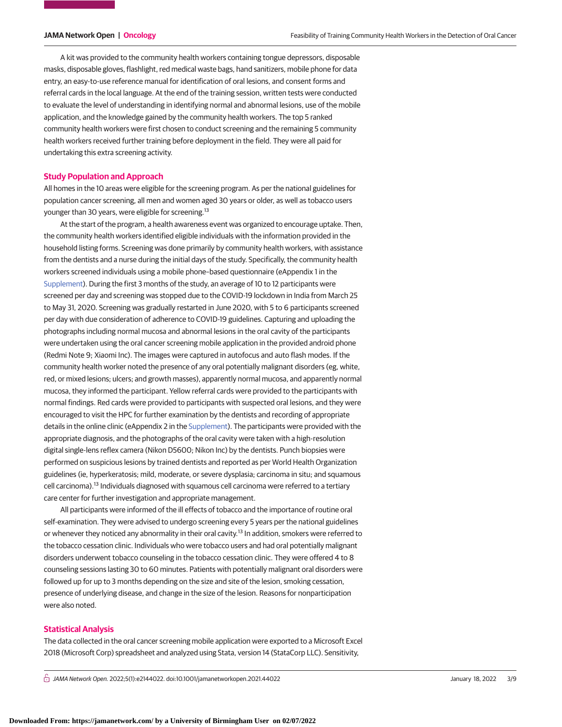A kit was provided to the community health workers containing tongue depressors, disposable masks, disposable gloves, flashlight, red medical waste bags, hand sanitizers, mobile phone for data entry, an easy-to-use reference manual for identification of oral lesions, and consent forms and referral cards in the local language. At the end of the training session, written tests were conducted to evaluate the level of understanding in identifying normal and abnormal lesions, use of the mobile application, and the knowledge gained by the community health workers. The top 5 ranked community health workers were first chosen to conduct screening and the remaining 5 community health workers received further training before deployment in the field. They were all paid for undertaking this extra screening activity.

#### **Study Population and Approach**

All homes in the 10 areas were eligible for the screening program. As per the national guidelines for population cancer screening, all men and women aged 30 years or older, as well as tobacco users younger than 30 years, were eligible for screening.<sup>13</sup>

At the start of the program, a health awareness event was organized to encourage uptake. Then, the community health workers identified eligible individuals with the information provided in the household listing forms. Screening was done primarily by community health workers, with assistance from the dentists and a nurse during the initial days of the study. Specifically, the community health workers screened individuals using a mobile phone–based questionnaire (eAppendix 1 in the [Supplement\)](https://jama.jamanetwork.com/article.aspx?doi=10.1001/jamanetworkopen.2021.44022&utm_campaign=articlePDF%26utm_medium=articlePDFlink%26utm_source=articlePDF%26utm_content=jamanetworkopen.2021.44022). During the first 3 months of the study, an average of 10 to 12 participants were screened per day and screening was stopped due to the COVID-19 lockdown in India from March 25 to May 31, 2020. Screening was gradually restarted in June 2020, with 5 to 6 participants screened per day with due consideration of adherence to COVID-19 guidelines. Capturing and uploading the photographs including normal mucosa and abnormal lesions in the oral cavity of the participants were undertaken using the oral cancer screening mobile application in the provided android phone (Redmi Note 9; Xiaomi Inc). The images were captured in autofocus and auto flash modes. If the community health worker noted the presence of any oral potentially malignant disorders (eg, white, red, or mixed lesions; ulcers; and growth masses), apparently normal mucosa, and apparently normal mucosa, they informed the participant. Yellow referral cards were provided to the participants with normal findings. Red cards were provided to participants with suspected oral lesions, and they were encouraged to visit the HPC for further examination by the dentists and recording of appropriate details in the online clinic (eAppendix 2 in the [Supplement\)](https://jama.jamanetwork.com/article.aspx?doi=10.1001/jamanetworkopen.2021.44022&utm_campaign=articlePDF%26utm_medium=articlePDFlink%26utm_source=articlePDF%26utm_content=jamanetworkopen.2021.44022). The participants were provided with the appropriate diagnosis, and the photographs of the oral cavity were taken with a high-resolution digital single-lens reflex camera (Nikon D5600; Nikon Inc) by the dentists. Punch biopsies were performed on suspicious lesions by trained dentists and reported as per World Health Organization guidelines (ie, hyperkeratosis; mild, moderate, or severe dysplasia; carcinoma in situ; and squamous cell carcinoma).<sup>13</sup> Individuals diagnosed with squamous cell carcinoma were referred to a tertiary care center for further investigation and appropriate management.

All participants were informed of the ill effects of tobacco and the importance of routine oral self-examination. They were advised to undergo screening every 5 years per the national guidelines or whenever they noticed any abnormality in their oral cavity.<sup>13</sup> In addition, smokers were referred to the tobacco cessation clinic. Individuals who were tobacco users and had oral potentially malignant disorders underwent tobacco counseling in the tobacco cessation clinic. They were offered 4 to 8 counseling sessions lasting 30 to 60 minutes. Patients with potentially malignant oral disorders were followed up for up to 3 months depending on the size and site of the lesion, smoking cessation, presence of underlying disease, and change in the size of the lesion. Reasons for nonparticipation were also noted.

#### **Statistical Analysis**

The data collected in the oral cancer screening mobile application were exported to a Microsoft Excel 2018 (Microsoft Corp) spreadsheet and analyzed using Stata, version 14 (StataCorp LLC). Sensitivity,

 $\bigcap$  JAMA Network Open. 2022;5(1):e2144022. doi:10.1001/jamanetworkopen.2021.44022 (Reprinted) January 18, 2022 3/9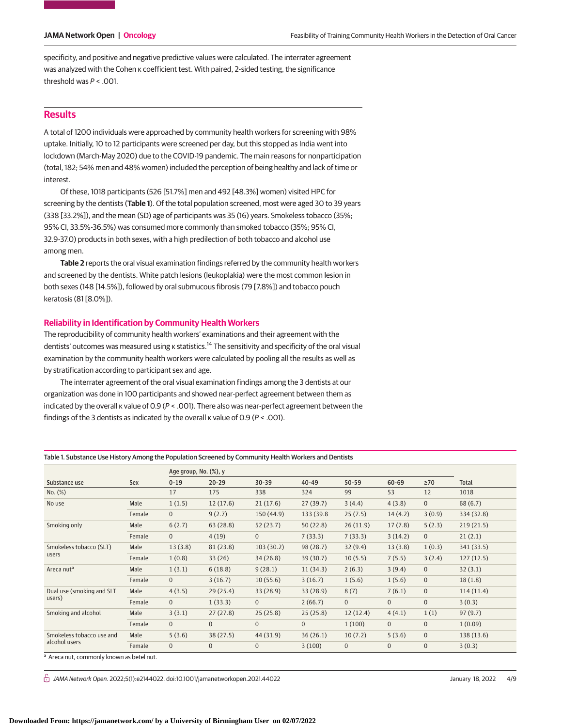specificity, and positive and negative predictive values were calculated. The interrater agreement was analyzed with the Cohen κ coefficient test. With paired, 2-sided testing, the significance threshold was  $P < .001$ .

### **Results**

A total of 1200 individuals were approached by community health workers for screening with 98% uptake. Initially, 10 to 12 participants were screened per day, but this stopped as India went into lockdown (March-May 2020) due to the COVID-19 pandemic. The main reasons for nonparticipation (total, 182; 54% men and 48% women) included the perception of being healthy and lack of time or interest.

Of these, 1018 participants (526 [51.7%] men and 492 [48.3%] women) visited HPC for screening by the dentists (**Table 1**). Of the total population screened, most were aged 30 to 39 years (338 [33.2%]), and the mean (SD) age of participants was 35 (16) years. Smokeless tobacco (35%; 95% CI, 33.5%-36.5%) was consumed more commonly than smoked tobacco (35%; 95% CI, 32.9-37.0) products in both sexes, with a high predilection of both tobacco and alcohol use among men.

**Table 2** reports the oral visual examination findings referred by the community health workers and screened by the dentists. White patch lesions (leukoplakia) were the most common lesion in both sexes (148 [14.5%]), followed by oral submucous fibrosis (79 [7.8%]) and tobacco pouch keratosis (81 [8.0%]).

### **Reliability in Identification by Community Health Workers**

The reproducibility of community health workers' examinations and their agreement with the dentists' outcomes was measured using κ statistics.<sup>14</sup> The sensitivity and specificity of the oral visual examination by the community health workers were calculated by pooling all the results as well as by stratification according to participant sex and age.

The interrater agreement of the oral visual examination findings among the 3 dentists at our organization was done in 100 participants and showed near-perfect agreement between them as indicated by the overall κ value of 0.9 (P < .001). There also was near-perfect agreement between the findings of the 3 dentists as indicated by the overall  $\kappa$  value of 0.9 ( $P <$  .001).

Table 1. Substance Use History Among the Population Screened by Community Health Workers and Dentists

|                                            |        | Age group, No. (%), y |              |              |                |              |                |              |            |
|--------------------------------------------|--------|-----------------------|--------------|--------------|----------------|--------------|----------------|--------------|------------|
| Substance use                              | Sex    | $0 - 19$              | $20 - 29$    | $30 - 39$    | 40-49          | $50 - 59$    | 60-69          | $\geq 70$    | Total      |
| No. (%)                                    |        | 17                    | 175          | 338          | 324            | 99           | 53             | 12           | 1018       |
| No use                                     | Male   | 1(1.5)                | 12(17.6)     | 21(17.6)     | 27(39.7)       | 3(4.4)       | 4(3.8)         | $\mathbf 0$  | 68(6.7)    |
|                                            | Female | $\mathbf{0}$          | 9(2.7)       | 150 (44.9)   | 133 (39.8)     | 25(7.5)      | 14(4.2)        | 3(0.9)       | 334 (32.8) |
| Smoking only                               | Male   | 6(2.7)                | 63(28.8)     | 52(23.7)     | 50(22.8)       | 26(11.9)     | 17(7.8)        | 5(2.3)       | 219(21.5)  |
|                                            | Female | $\overline{0}$        | 4(19)        | $\Omega$     | 7(33.3)        | 7(33.3)      | 3(14.2)        | $\mathbf 0$  | 21(2.1)    |
| Smokeless tobacco (SLT)<br>users           | Male   | 13(3.8)               | 81(23.8)     | 103(30.2)    | 98 (28.7)      | 32(9.4)      | 13(3.8)        | 1(0.3)       | 341 (33.5) |
|                                            | Female | 1(0.8)                | 33(26)       | 34(26.8)     | 39 (30.7)      | 10(5.5)      | 7(5.5)         | 3(2.4)       | 127(12.5)  |
| Areca nut <sup>a</sup>                     | Male   | 1(3.1)                | 6(18.8)      | 9(28.1)      | 11(34.3)       | 2(6.3)       | 3(9.4)         | $\mathbf 0$  | 32(3.1)    |
|                                            | Female | $\overline{0}$        | 3(16.7)      | 10(55.6)     | 3(16.7)        | 1(5.6)       | 1(5.6)         | $\mathbf 0$  | 18(1.8)    |
| Dual use (smoking and SLT<br>users)        | Male   | 4(3.5)                | 29(25.4)     | 33(28.9)     | 33(28.9)       | 8(7)         | 7(6.1)         | $\mathbf 0$  | 114(11.4)  |
|                                            | Female | $\overline{0}$        | 1(33.3)      | $\mathbf{0}$ | 2(66.7)        | $\mathbf{0}$ | $\overline{0}$ | $\mathbf{0}$ | 3(0.3)     |
| Smoking and alcohol                        | Male   | 3(3.1)                | 27(27.8)     | 25(25.8)     | 25(25.8)       | 12(12.4)     | 4(4.1)         | 1(1)         | 97(9.7)    |
|                                            | Female | $\overline{0}$        | $\mathbf{0}$ | $\mathbf{0}$ | $\overline{0}$ | 1(100)       | $\overline{0}$ | $\mathbf{0}$ | 1(0.09)    |
| Smokeless tobacco use and<br>alcohol users | Male   | 5(3.6)                | 38(27.5)     | 44 (31.9)    | 36(26.1)       | 10(7.2)      | 5(3.6)         | $\mathbf{0}$ | 138 (13.6) |
|                                            | Female | $\overline{0}$        | 0            | $\mathbf{0}$ | 3(100)         | $\mathbf 0$  | 0              | $\mathbf 0$  | 3(0.3)     |

Areca nut, commonly known as betel nut.

 $\bigcap$  JAMA Network Open. 2022;5(1):e2144022. doi:10.1001/jamanetworkopen.2021.44022 (Berlined) January 18, 2022 4/9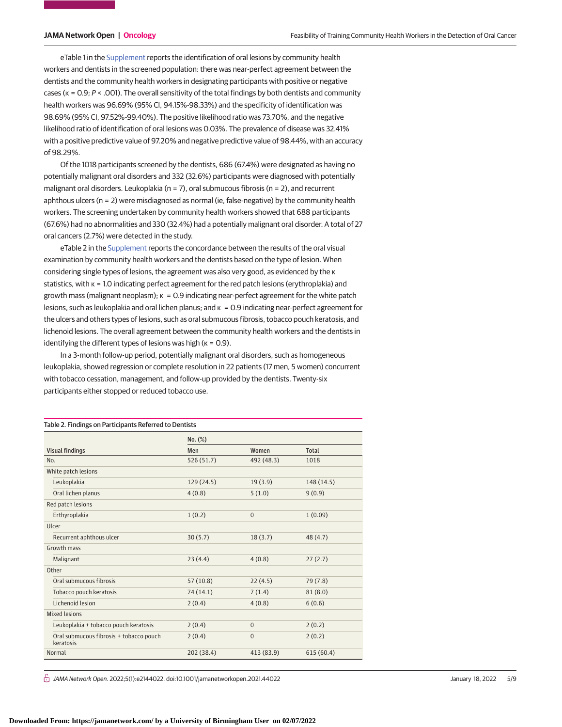eTable 1 in the [Supplement](https://jama.jamanetwork.com/article.aspx?doi=10.1001/jamanetworkopen.2021.44022&utm_campaign=articlePDF%26utm_medium=articlePDFlink%26utm_source=articlePDF%26utm_content=jamanetworkopen.2021.44022) reports the identification of oral lesions by community health workers and dentists in the screened population: there was near-perfect agreement between the dentists and the community health workers in designating participants with positive or negative cases ( $\kappa = 0.9$ ;  $P < .001$ ). The overall sensitivity of the total findings by both dentists and community health workers was 96.69% (95% CI, 94.15%-98.33%) and the specificity of identification was 98.69% (95% CI, 97.52%-99.40%). The positive likelihood ratio was 73.70%, and the negative likelihood ratio of identification of oral lesions was 0.03%. The prevalence of disease was 32.41% with a positive predictive value of 97.20% and negative predictive value of 98.44%, with an accuracy of 98.29%.

Of the 1018 participants screened by the dentists, 686 (67.4%) were designated as having no potentially malignant oral disorders and 332 (32.6%) participants were diagnosed with potentially malignant oral disorders. Leukoplakia ( $n = 7$ ), oral submucous fibrosis ( $n = 2$ ), and recurrent aphthous ulcers (n = 2) were misdiagnosed as normal (ie, false-negative) by the community health workers. The screening undertaken by community health workers showed that 688 participants (67.6%) had no abnormalities and 330 (32.4%) had a potentially malignant oral disorder. A total of 27 oral cancers (2.7%) were detected in the study.

eTable 2 in the [Supplement](https://jama.jamanetwork.com/article.aspx?doi=10.1001/jamanetworkopen.2021.44022&utm_campaign=articlePDF%26utm_medium=articlePDFlink%26utm_source=articlePDF%26utm_content=jamanetworkopen.2021.44022) reports the concordance between the results of the oral visual examination by community health workers and the dentists based on the type of lesion. When considering single types of lesions, the agreement was also very good, as evidenced by the κ statistics, with κ = 1.0 indicating perfect agreement for the red patch lesions (erythroplakia) and growth mass (malignant neoplasm); κ = 0.9 indicating near-perfect agreement for the white patch lesions, such as leukoplakia and oral lichen planus; and κ = 0.9 indicating near-perfect agreement for the ulcers and others types of lesions, such as oral submucous fibrosis, tobacco pouch keratosis, and lichenoid lesions. The overall agreement between the community health workers and the dentists in identifying the different types of lesions was high ( $\kappa$  = 0.9).

In a 3-month follow-up period, potentially malignant oral disorders, such as homogeneous leukoplakia, showed regression or complete resolution in 22 patients (17 men, 5 women) concurrent with tobacco cessation, management, and follow-up provided by the dentists. Twenty-six participants either stopped or reduced tobacco use.

| Table 2. Findings on Participants Referred to Dentists |            |            |              |  |  |  |  |
|--------------------------------------------------------|------------|------------|--------------|--|--|--|--|
|                                                        | No. (%)    |            |              |  |  |  |  |
| <b>Visual findings</b>                                 | Men        | Women      | <b>Total</b> |  |  |  |  |
| No.                                                    | 526 (51.7) | 492 (48.3) | 1018         |  |  |  |  |
| White patch lesions                                    |            |            |              |  |  |  |  |
| Leukoplakia                                            | 129 (24.5) | 19(3.9)    | 148 (14.5)   |  |  |  |  |
| Oral lichen planus                                     | 4(0.8)     | 5(1.0)     | 9(0.9)       |  |  |  |  |
| Red patch lesions                                      |            |            |              |  |  |  |  |
| Erthyroplakia                                          | 1(0.2)     | $\Omega$   | 1(0.09)      |  |  |  |  |
| Ulcer                                                  |            |            |              |  |  |  |  |
| Recurrent aphthous ulcer                               | 30(5.7)    | 18(3.7)    | 48(4.7)      |  |  |  |  |
| Growth mass                                            |            |            |              |  |  |  |  |
| Malignant                                              | 23(4.4)    | 4(0.8)     | 27(2.7)      |  |  |  |  |
| Other                                                  |            |            |              |  |  |  |  |
| Oral submucous fibrosis                                | 57(10.8)   | 22(4.5)    | 79 (7.8)     |  |  |  |  |
| Tobacco pouch keratosis                                | 74 (14.1)  | 7(1.4)     | 81(8.0)      |  |  |  |  |
| Lichenoid lesion                                       | 2(0.4)     | 4(0.8)     | 6(0.6)       |  |  |  |  |
| <b>Mixed lesions</b>                                   |            |            |              |  |  |  |  |
| Leukoplakia + tobacco pouch keratosis                  | 2(0.4)     | $\Omega$   | 2(0.2)       |  |  |  |  |
| Oral submucous fibrosis + tobacco pouch<br>keratosis   | 2(0.4)     | $\Omega$   | 2(0.2)       |  |  |  |  |
| Normal                                                 | 202 (38.4) | 413 (83.9) | 615(60.4)    |  |  |  |  |

 $\bigcap$  JAMA Network Open. 2022;5(1):e2144022. doi:10.1001/jamanetworkopen.2021.44022 (Reprinted) January 18, 2022 5/9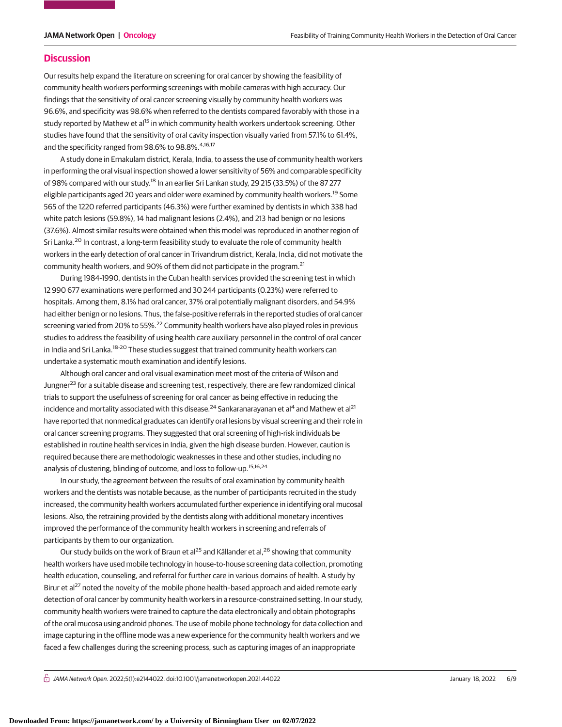#### **Discussion**

Our results help expand the literature on screening for oral cancer by showing the feasibility of community health workers performing screenings with mobile cameras with high accuracy. Our findings that the sensitivity of oral cancer screening visually by community health workers was 96.6%, and specificity was 98.6% when referred to the dentists compared favorably with those in a study reported by Mathew et al<sup>15</sup> in which community health workers undertook screening. Other studies have found that the sensitivity of oral cavity inspection visually varied from 57.1% to 61.4%, and the specificity ranged from 98.6% to 98.8%.<sup>4,16,17</sup>

A study done in Ernakulam district, Kerala, India, to assess the use of community health workers in performing the oral visual inspection showed a lower sensitivity of 56% and comparable specificity of 98% compared with our study.18 In an earlier Sri Lankan study, 29 215 (33.5%) of the 87 277 eligible participants aged 20 years and older were examined by community health workers.<sup>19</sup> Some 565 of the 1220 referred participants (46.3%) were further examined by dentists in which 338 had white patch lesions (59.8%), 14 had malignant lesions (2.4%), and 213 had benign or no lesions (37.6%). Almost similar results were obtained when this model was reproduced in another region of Sri Lanka.<sup>20</sup> In contrast, a long-term feasibility study to evaluate the role of community health workers in the early detection of oral cancer in Trivandrum district, Kerala, India, did not motivate the community health workers, and 90% of them did not participate in the program.<sup>21</sup>

During 1984-1990, dentists in the Cuban health services provided the screening test in which 12 990 677 examinations were performed and 30 244 participants (0.23%) were referred to hospitals. Among them, 8.1% had oral cancer, 37% oral potentially malignant disorders, and 54.9% had either benign or no lesions. Thus, the false-positive referrals in the reported studies of oral cancer screening varied from 20% to 55%.<sup>22</sup> Community health workers have also played roles in previous studies to address the feasibility of using health care auxiliary personnel in the control of oral cancer in India and Sri Lanka.<sup>18-20</sup> These studies suggest that trained community health workers can undertake a systematic mouth examination and identify lesions.

Although oral cancer and oral visual examination meet most of the criteria of Wilson and Jungner<sup>23</sup> for a suitable disease and screening test, respectively, there are few randomized clinical trials to support the usefulness of screening for oral cancer as being effective in reducing the incidence and mortality associated with this disease.<sup>24</sup> Sankaranarayanan et al<sup>4</sup> and Mathew et al<sup>21</sup> have reported that nonmedical graduates can identify oral lesions by visual screening and their role in oral cancer screening programs. They suggested that oral screening of high-risk individuals be established in routine health services in India, given the high disease burden. However, caution is required because there are methodologic weaknesses in these and other studies, including no analysis of clustering, blinding of outcome, and loss to follow-up.<sup>15,16,24</sup>

In our study, the agreement between the results of oral examination by community health workers and the dentists was notable because, as the number of participants recruited in the study increased, the community health workers accumulated further experience in identifying oral mucosal lesions. Also, the retraining provided by the dentists along with additional monetary incentives improved the performance of the community health workers in screening and referrals of participants by them to our organization.

Our study builds on the work of Braun et al<sup>25</sup> and Källander et al.<sup>26</sup> showing that community health workers have used mobile technology in house-to-house screening data collection, promoting health education, counseling, and referral for further care in various domains of health. A study by Birur et al<sup>27</sup> noted the novelty of the mobile phone health-based approach and aided remote early detection of oral cancer by community health workers in a resource-constrained setting. In our study, community health workers were trained to capture the data electronically and obtain photographs of the oral mucosa using android phones. The use of mobile phone technology for data collection and image capturing in the offline mode was a new experience for the community health workers and we faced a few challenges during the screening process, such as capturing images of an inappropriate

 $\bigcap$  JAMA Network Open. 2022;5(1):e2144022. doi:10.1001/jamanetworkopen.2021.44022 (Reprinted) January 18, 2022 6/9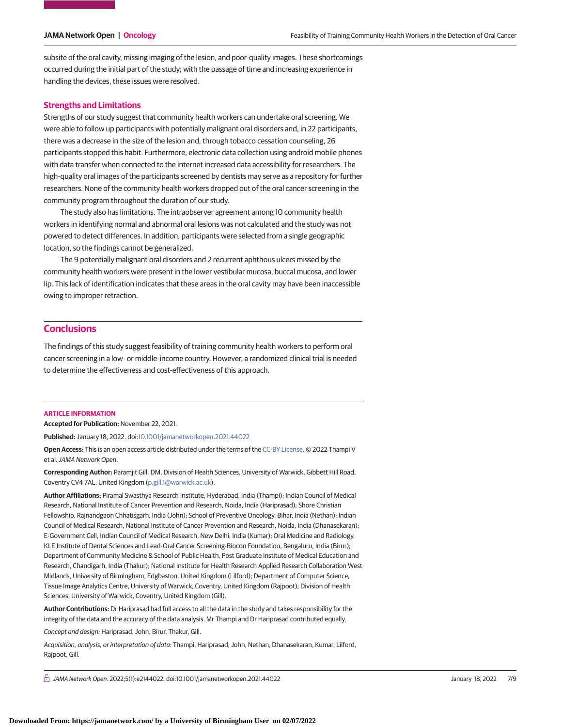subsite of the oral cavity, missing imaging of the lesion, and poor-quality images. These shortcomings occurred during the initial part of the study; with the passage of time and increasing experience in handling the devices, these issues were resolved.

#### **Strengths and Limitations**

Strengths of our study suggest that community health workers can undertake oral screening. We were able to follow up participants with potentially malignant oral disorders and, in 22 participants, there was a decrease in the size of the lesion and, through tobacco cessation counseling, 26 participants stopped this habit. Furthermore, electronic data collection using android mobile phones with data transfer when connected to the internet increased data accessibility for researchers. The high-quality oral images of the participants screened by dentists may serve as a repository for further researchers. None of the community health workers dropped out of the oral cancer screening in the community program throughout the duration of our study.

The study also has limitations. The intraobserver agreement among 10 community health workers in identifying normal and abnormal oral lesions was not calculated and the study was not powered to detect differences. In addition, participants were selected from a single geographic location, so the findings cannot be generalized.

The 9 potentially malignant oral disorders and 2 recurrent aphthous ulcers missed by the community health workers were present in the lower vestibular mucosa, buccal mucosa, and lower lip. This lack of identification indicates that these areas in the oral cavity may have been inaccessible owing to improper retraction.

### **Conclusions**

The findings of this study suggest feasibility of training community health workers to perform oral cancer screening in a low- or middle-income country. However, a randomized clinical trial is needed to determine the effectiveness and cost-effectiveness of this approach.

#### **ARTICLE INFORMATION**

**Accepted for Publication:** November 22, 2021.

**Published:** January 18, 2022. doi[:10.1001/jamanetworkopen.2021.44022](https://jama.jamanetwork.com/article.aspx?doi=10.1001/jamanetworkopen.2021.44022&utm_campaign=articlePDF%26utm_medium=articlePDFlink%26utm_source=articlePDF%26utm_content=jamanetworkopen.2021.44022)

**Open Access:** This is an open access article distributed under the terms of the [CC-BY License.](https://jamanetwork.com/pages/cc-by-license-permissions/?utm_campaign=articlePDF%26utm_medium=articlePDFlink%26utm_source=articlePDF%26utm_content=jamanetworkopen.2021.44022) © 2022 Thampi V et al.JAMA Network Open.

**Corresponding Author:** Paramjit Gill, DM, Division of Health Sciences, University of Warwick, Gibbett Hill Road, Coventry CV4 7AL, United Kingdom [\(p.gill.1@warwick.ac.uk\)](mailto:p.gill.1@warwick.ac.uk).

**Author Affiliations:** Piramal Swasthya Research Institute, Hyderabad, India (Thampi); Indian Council of Medical Research, National Institute of Cancer Prevention and Research, Noida, India (Hariprasad); Shore Christian Fellowship, Rajnandgaon Chhatisgarh, India (John); School of Preventive Oncology, Bihar, India (Nethan); Indian Council of Medical Research, National Institute of Cancer Prevention and Research, Noida, India (Dhanasekaran); E-Government Cell, Indian Council of Medical Research, New Delhi, India (Kumar); Oral Medicine and Radiology, KLE Institute of Dental Sciences and Lead-Oral Cancer Screening-Biocon Foundation, Bengaluru, India (Birur); Department of Community Medicine & School of Public Health, Post Graduate Institute of Medical Education and Research, Chandigarh, India (Thakur); National Institute for Health Research Applied Research Collaboration West Midlands, University of Birmingham, Edgbaston, United Kingdom (Lilford); Department of Computer Science, Tissue Image Analytics Centre, University of Warwick, Coventry, United Kingdom (Rajpoot); Division of Health Sciences, University of Warwick, Coventry, United Kingdom (Gill).

**Author Contributions:** Dr Hariprasad had full access to all the data in the study and takes responsibility for the integrity of the data and the accuracy of the data analysis. Mr Thampi and Dr Hariprasad contributed equally. Concept and design: Hariprasad, John, Birur, Thakur, Gill.

Acquisition, analysis, or interpretation of data: Thampi, Hariprasad, John, Nethan, Dhanasekaran, Kumar, Lilford, Rajpoot, Gill.

 $\bigcap$  JAMA Network Open. 2022;5(1):e2144022. doi:10.1001/jamanetworkopen.2021.44022 (Reprinted) January 18, 2022 7/9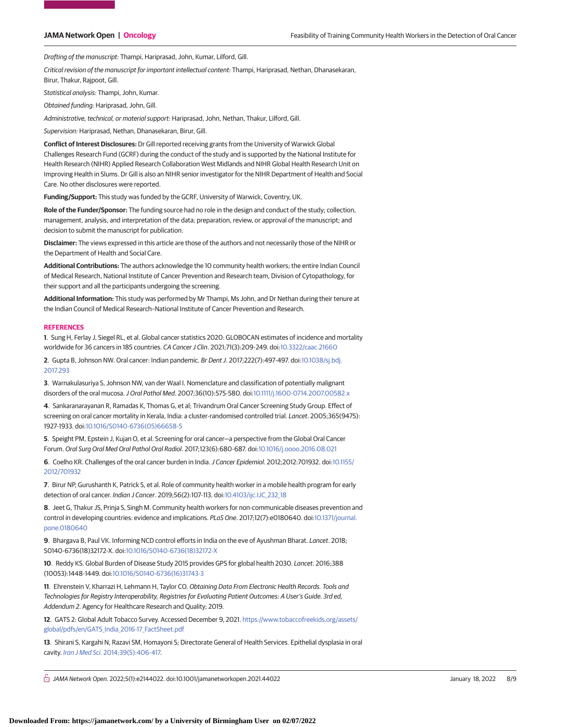Drafting of the manuscript: Thampi, Hariprasad, John, Kumar, Lilford, Gill.

Critical revision of the manuscript for important intellectual content: Thampi, Hariprasad, Nethan, Dhanasekaran, Birur, Thakur, Rajpoot, Gill.

Statistical analysis: Thampi, John, Kumar.

Obtained funding: Hariprasad, John, Gill.

Administrative, technical, or material support: Hariprasad, John, Nethan, Thakur, Lilford, Gill.

Supervision: Hariprasad, Nethan, Dhanasekaran, Birur, Gill.

**Conflict of Interest Disclosures:** Dr Gill reported receiving grants from the University of Warwick Global Challenges Research Fund (GCRF) during the conduct of the study and is supported by the National Institute for Health Research (NIHR) Applied Research Collaboration West Midlands and NIHR Global Health Research Unit on Improving Health in Slums. Dr Gill is also an NIHR senior investigator for the NIHR Department of Health and Social Care. No other disclosures were reported.

**Funding/Support:** This study was funded by the GCRF, University of Warwick, Coventry, UK.

**Role of the Funder/Sponsor:** The funding source had no role in the design and conduct of the study; collection, management, analysis, and interpretation of the data; preparation, review, or approval of the manuscript; and decision to submit the manuscript for publication.

**Disclaimer:** The views expressed in this article are those of the authors and not necessarily those of the NIHR or the Department of Health and Social Care.

**Additional Contributions:** The authors acknowledge the 10 community health workers; the entire Indian Council of Medical Research, National Institute of Cancer Prevention and Research team, Division of Cytopathology, for their support and all the participants undergoing the screening.

**Additional Information:** This study was performed by Mr Thampi, Ms John, and Dr Nethan during their tenure at the Indian Council of Medical Research–National Institute of Cancer Prevention and Research.

#### **REFERENCES**

**1**. Sung H, Ferlay J, Siegel RL, et al. Global cancer statistics 2020: GLOBOCAN estimates of incidence and mortality worldwide for 36 cancers in 185 countries. CA Cancer J Clin. 2021;71(3):209-249. doi[:10.3322/caac.21660](https://dx.doi.org/10.3322/caac.21660)

**2**. Gupta B, Johnson NW. Oral cancer: Indian pandemic. Br Dent J. 2017;222(7):497-497. doi[:10.1038/sj.bdj.](https://dx.doi.org/10.1038/sj.bdj.2017.293) [2017.293](https://dx.doi.org/10.1038/sj.bdj.2017.293)

**3**. Warnakulasuriya S, Johnson NW, van der Waal I. Nomenclature and classification of potentially malignant disorders of the oral mucosa.J Oral Pathol Med. 2007;36(10):575-580. doi[:10.1111/j.1600-0714.2007.00582.x](https://dx.doi.org/10.1111/j.1600-0714.2007.00582.x)

**4**. Sankaranarayanan R, Ramadas K, Thomas G, et al; Trivandrum Oral Cancer Screening Study Group. Effect of screening on oral cancer mortality in Kerala, India: a cluster-randomised controlled trial. Lancet. 2005;365(9475): 1927-1933. doi[:10.1016/S0140-6736\(05\)66658-5](https://dx.doi.org/10.1016/S0140-6736(05)66658-5)

**5**. Speight PM, Epstein J, Kujan O, et al. Screening for oral cancer—a perspective from the Global Oral Cancer Forum. Oral Surg Oral Med Oral Pathol Oral Radiol. 2017;123(6):680-687. doi[:10.1016/j.oooo.2016.08.021](https://dx.doi.org/10.1016/j.oooo.2016.08.021)

**6**. Coelho KR. Challenges of the oral cancer burden in India.J Cancer Epidemiol. 2012;2012:701932. doi[:10.1155/](https://dx.doi.org/10.1155/2012/701932) [2012/701932](https://dx.doi.org/10.1155/2012/701932)

**7**. Birur NP, Gurushanth K, Patrick S, et al. Role of community health worker in a mobile health program for early detection of oral cancer. Indian J Cancer. 2019;56(2):107-113. doi[:10.4103/ijc.IJC\\_232\\_18](https://dx.doi.org/10.4103/ijc.IJC_232_18)

**8**. Jeet G, Thakur JS, Prinja S, Singh M. Community health workers for non-communicable diseases prevention and control in developing countries: evidence and implications. PLoS One. 2017;12(7):e0180640. doi[:10.1371/journal.](https://dx.doi.org/10.1371/journal.pone.0180640) [pone.0180640](https://dx.doi.org/10.1371/journal.pone.0180640)

**9**. Bhargava B, Paul VK. Informing NCD control efforts in India on the eve of Ayushman Bharat. Lancet. 2018; S0140-6736(18)32172-X. doi[:10.1016/S0140-6736\(18\)32172-X](https://dx.doi.org/10.1016/S0140-6736(18)32172-X)

**10**. Reddy KS. Global Burden of Disease Study 2015 provides GPS for global health 2030. Lancet. 2016;388 (10053):1448-1449. doi[:10.1016/S0140-6736\(16\)31743-3](https://dx.doi.org/10.1016/S0140-6736(16)31743-3)

**11**. Ehrenstein V, Kharrazi H, Lehmann H, Taylor CO. Obtaining Data From Electronic Health Records. Tools and Technologies for Registry Interoperability, Registries for Evaluating Patient Outcomes: A User's Guide. 3rd ed, Addendum 2. Agency for Healthcare Research and Quality; 2019.

**12**. GATS 2: Global Adult Tobacco Survey. Accessed December 9, 2021. [https://www.tobaccofreekids.org/assets/](https://www.tobaccofreekids.org/assets/global/pdfs/en/GATS_India_2016-17_FactSheet.pdf) [global/pdfs/en/GATS\\_India\\_2016-17\\_FactSheet.pdf](https://www.tobaccofreekids.org/assets/global/pdfs/en/GATS_India_2016-17_FactSheet.pdf)

**13**. Shirani S, Kargahi N, Razavi SM, Homayoni S; Directorate General of Health Services. Epithelial dysplasia in oral cavity. Iran J Med Sci[. 2014;39\(5\):406-417.](https://www.ncbi.nlm.nih.gov/pubmed/25242838)

 $\bigcap$  JAMA Network Open. 2022;5(1):e2144022. doi:10.1001/jamanetworkopen.2021.44022 (Reprinted) January 18, 2022 8/9